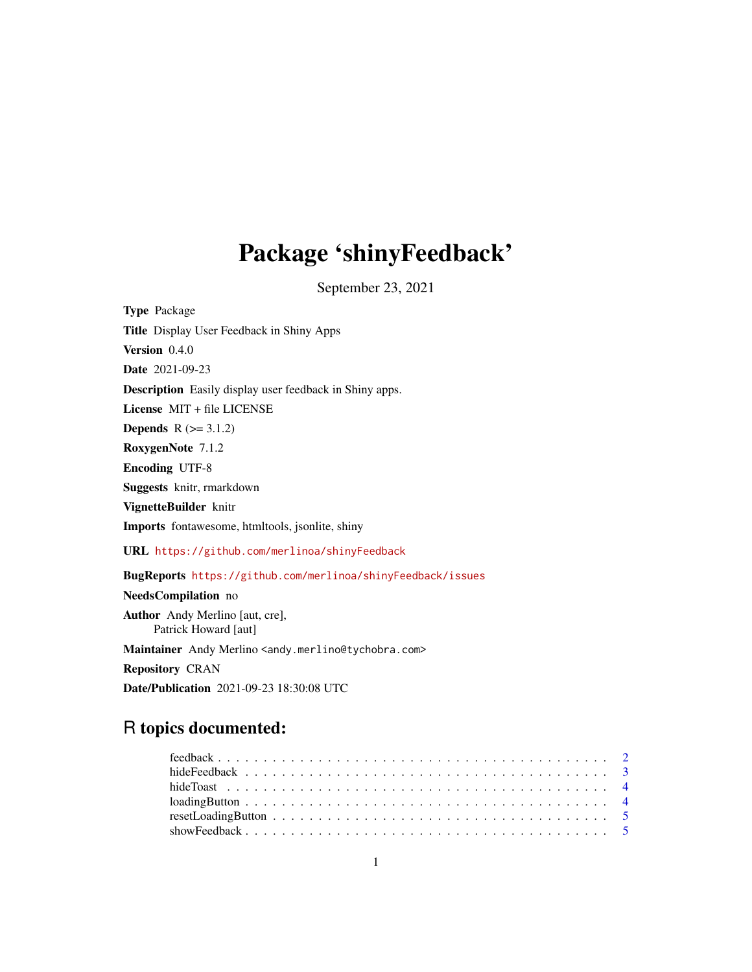## Package 'shinyFeedback'

September 23, 2021

| <b>Type Package</b>                                                             |
|---------------------------------------------------------------------------------|
| Title Display User Feedback in Shiny Apps                                       |
| Version 0.4.0                                                                   |
| <b>Date</b> 2021-09-23                                                          |
| <b>Description</b> Easily display user feedback in Shiny apps.                  |
| License MIT + file LICENSE                                                      |
| <b>Depends</b> $R (= 3.1.2)$                                                    |
| RoxygenNote 7.1.2                                                               |
| <b>Encoding UTF-8</b>                                                           |
| <b>Suggests</b> knitr, rmarkdown                                                |
| VignetteBuilder knitr                                                           |
| <b>Imports</b> fontawesome, htmltools, jsonlite, shiny                          |
| URL https://github.com/merlinoa/shinyFeedback                                   |
| BugReports https://github.com/merlinoa/shinyFeedback/issues                     |
| NeedsCompilation no                                                             |
| <b>Author</b> Andy Merlino [aut, cre],<br>Patrick Howard [aut]                  |
| Maintainer Andy Merlino <andy.merlino@tychobra.com></andy.merlino@tychobra.com> |
| <b>Repository CRAN</b>                                                          |
| Date/Publication 2021-09-23 18:30:08 UTC                                        |

### R topics documented: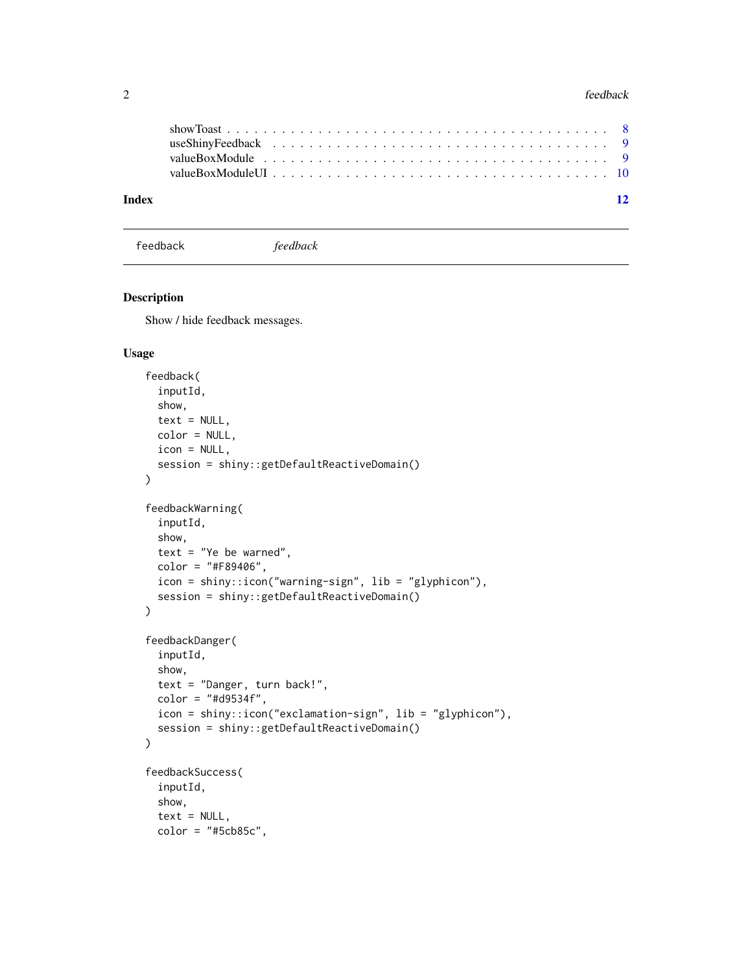<span id="page-1-0"></span>

| Index |  |  |  |  |  |  |  |  |  |  |  |  |  |  |  |  | $\overline{12}$ |
|-------|--|--|--|--|--|--|--|--|--|--|--|--|--|--|--|--|-----------------|
|       |  |  |  |  |  |  |  |  |  |  |  |  |  |  |  |  |                 |
|       |  |  |  |  |  |  |  |  |  |  |  |  |  |  |  |  |                 |
|       |  |  |  |  |  |  |  |  |  |  |  |  |  |  |  |  |                 |
|       |  |  |  |  |  |  |  |  |  |  |  |  |  |  |  |  |                 |

feedback *feedback*

#### Description

Show / hide feedback messages.

#### Usage

```
feedback(
  inputId,
  show,
  text = NULL,color = NULL,
  icon = NULL,
  session = shiny::getDefaultReactiveDomain()
)
feedbackWarning(
  inputId,
  show,
  text = "Ye be warned",
  color = "#F89406",
  icon = shiny::icon("warning-sign", lib = "glyphicon"),
  session = shiny::getDefaultReactiveDomain()
\mathcal{L}feedbackDanger(
  inputId,
  show,
  text = "Danger, turn back!",
  color = "#d9534f",
  icon = shiny::icon("exclamation-sign", lib = "glyphicon"),
  session = shiny::getDefaultReactiveDomain()
\mathcal{L}feedbackSuccess(
  inputId,
  show,
  text = NULL,color = "#5cb85c",
```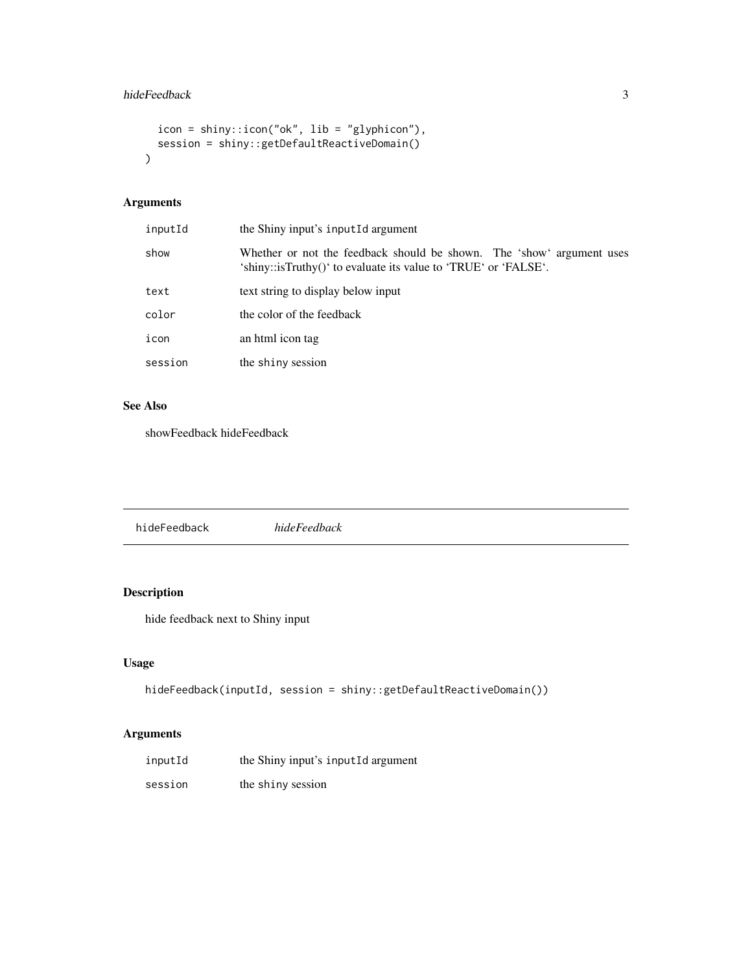#### <span id="page-2-0"></span>hideFeedback 3

```
icon = shiny::icon("ok", lib = "glyphicon"),
  session = shiny::getDefaultReactiveDomain()
\mathcal{L}
```
#### Arguments

| inputId | the Shiny input's inputed argument                                                                                                       |
|---------|------------------------------------------------------------------------------------------------------------------------------------------|
| show    | Whether or not the feedback should be shown. The 'show' argument uses<br>'shiny::isTruthy()' to evaluate its value to 'TRUE' or 'FALSE'. |
| text    | text string to display below input                                                                                                       |
| color   | the color of the feedback                                                                                                                |
| icon    | an html icon tag                                                                                                                         |
| session | the shiny session                                                                                                                        |
|         |                                                                                                                                          |

#### See Also

showFeedback hideFeedback

| hideFeedback | hideFeedback |
|--------------|--------------|
|              |              |

#### Description

hide feedback next to Shiny input

#### Usage

```
hideFeedback(inputId, session = shiny::getDefaultReactiveDomain())
```
#### Arguments

| inputId | the Shiny input's inputId argument |
|---------|------------------------------------|
| session | the shiny session                  |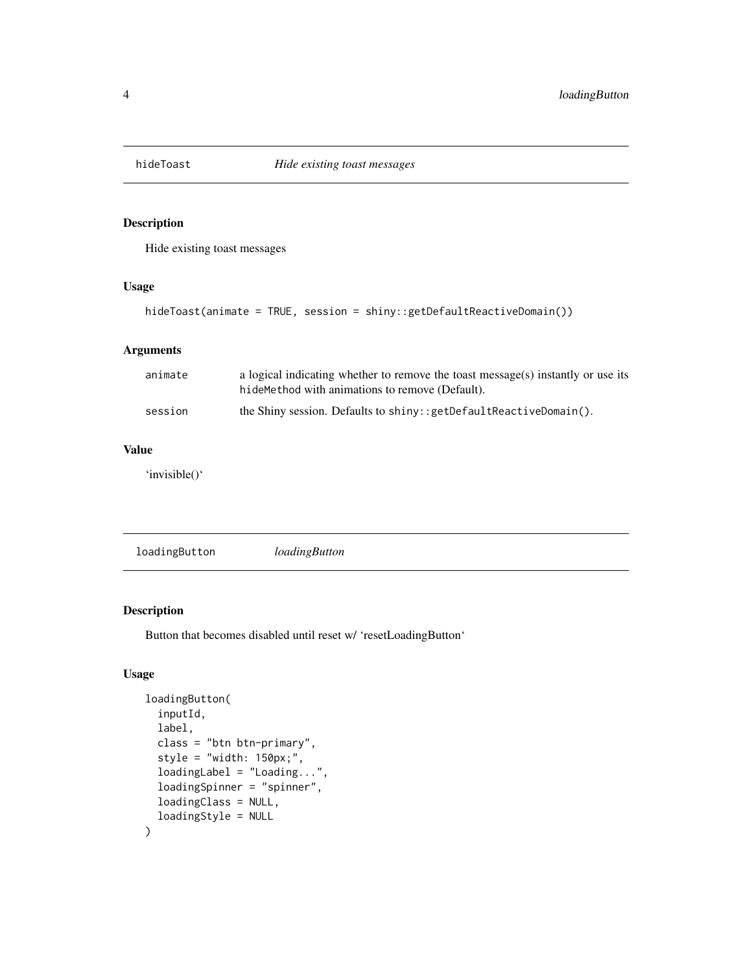<span id="page-3-1"></span><span id="page-3-0"></span>

#### Description

Hide existing toast messages

#### Usage

hideToast(animate = TRUE, session = shiny::getDefaultReactiveDomain())

#### Arguments

| animate | a logical indicating whether to remove the toast message(s) instantly or use its<br>hideMethod with animations to remove (Default). |
|---------|-------------------------------------------------------------------------------------------------------------------------------------|
| session | the Shiny session. Defaults to $\sin(y)$ : $\gcd\left(\frac{1}{1 + e^{-x}}\right)$ etc.                                             |

#### Value

'invisible()'

loadingButton *loadingButton*

#### Description

Button that becomes disabled until reset w/ 'resetLoadingButton'

#### Usage

```
loadingButton(
  inputId,
  label,
  class = "btn btn-primary",
  style = "width: 150px;",
  loadingLabel = "Loading...",
  loadingSpinner = "spinner",
  loadingClass = NULL,
  loadingStyle = NULL
\mathcal{E}
```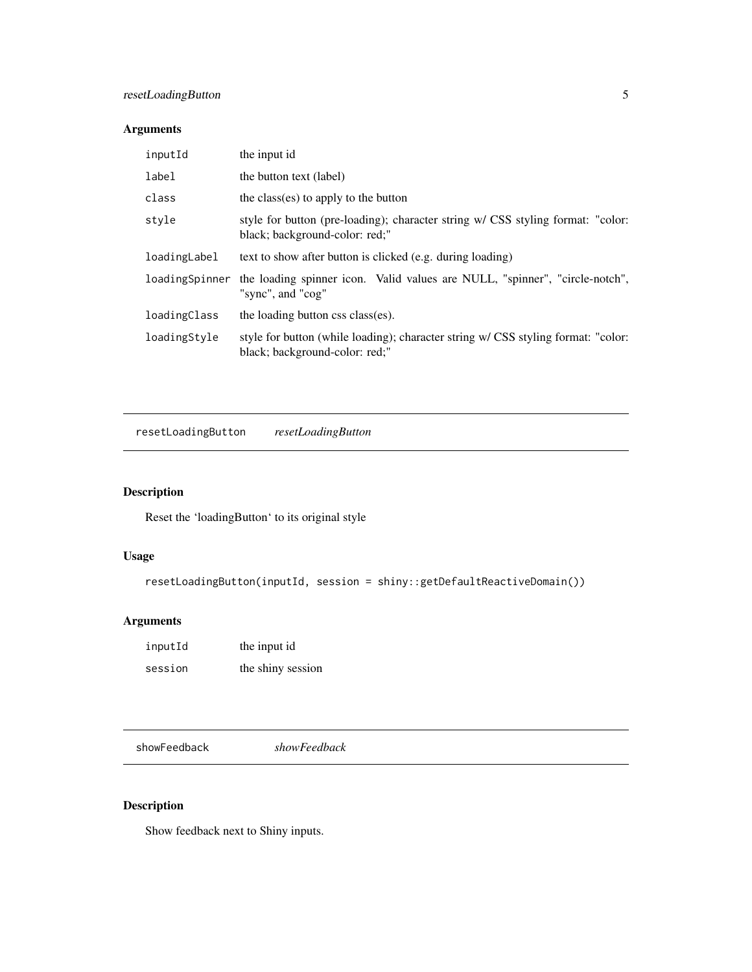#### <span id="page-4-0"></span>resetLoadingButton 5

#### Arguments

| inputId        | the input id                                                                                                        |
|----------------|---------------------------------------------------------------------------------------------------------------------|
| label          | the button text (label)                                                                                             |
| class          | the class(es) to apply to the button                                                                                |
| style          | style for button (pre-loading); character string w/ CSS styling format: "color:<br>black; background-color: red;"   |
| loadingLabel   | text to show after button is clicked (e.g. during loading)                                                          |
| loadingSpinner | the loading spinner icon. Valid values are NULL, "spinner", "circle-notch",<br>"sync", and "cog"                    |
| loadingClass   | the loading button css class(es).                                                                                   |
| loadingStyle   | style for button (while loading); character string w/ CSS styling format: "color:<br>black; background-color: red;" |

resetLoadingButton *resetLoadingButton*

#### Description

Reset the 'loadingButton' to its original style

#### Usage

resetLoadingButton(inputId, session = shiny::getDefaultReactiveDomain())

### Arguments

| inputId | the input id      |
|---------|-------------------|
| session | the shiny session |

showFeedback *showFeedback*

#### Description

Show feedback next to Shiny inputs.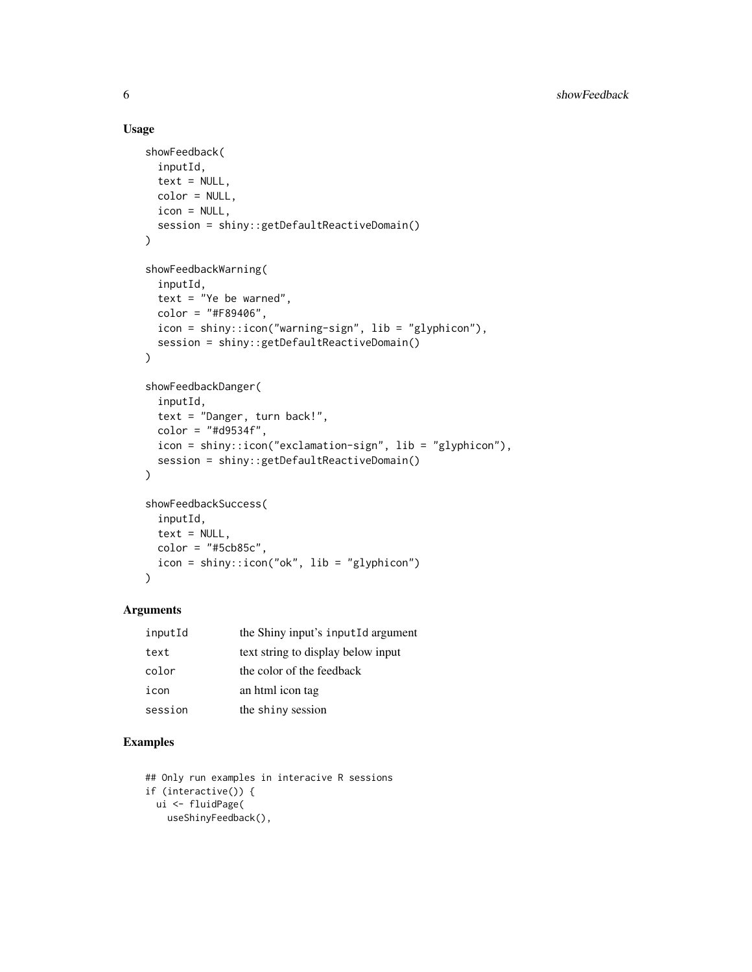#### Usage

```
showFeedback(
  inputId,
  text = NULL,color = NULL,
  icon = NULL,
  session = shiny::getDefaultReactiveDomain()
\lambdashowFeedbackWarning(
  inputId,
  text = "Ye be warned",
 color = "#F89406",
  icon = shiny::icon("warning-sign", lib = "glyphicon"),
  session = shiny::getDefaultReactiveDomain()
)
showFeedbackDanger(
  inputId,
  text = "Danger, turn back!",
 color = "#d9534f",
  icon = shiny::icon("exclamation-sign", lib = "glyphicon"),
  session = shiny::getDefaultReactiveDomain()
)
showFeedbackSuccess(
  inputId,
  text = NULL,color = "#5cb85c",
  icon = shiny::icon("ok", lib = "glyphicon")
```

```
)
```
#### Arguments

| inputId | the Shiny input's inputId argument |
|---------|------------------------------------|
| text    | text string to display below input |
| color   | the color of the feedback          |
| icon    | an html icon tag                   |
| session | the shiny session                  |

#### Examples

```
## Only run examples in interacive R sessions
if (interactive()) {
 ui <- fluidPage(
   useShinyFeedback(),
```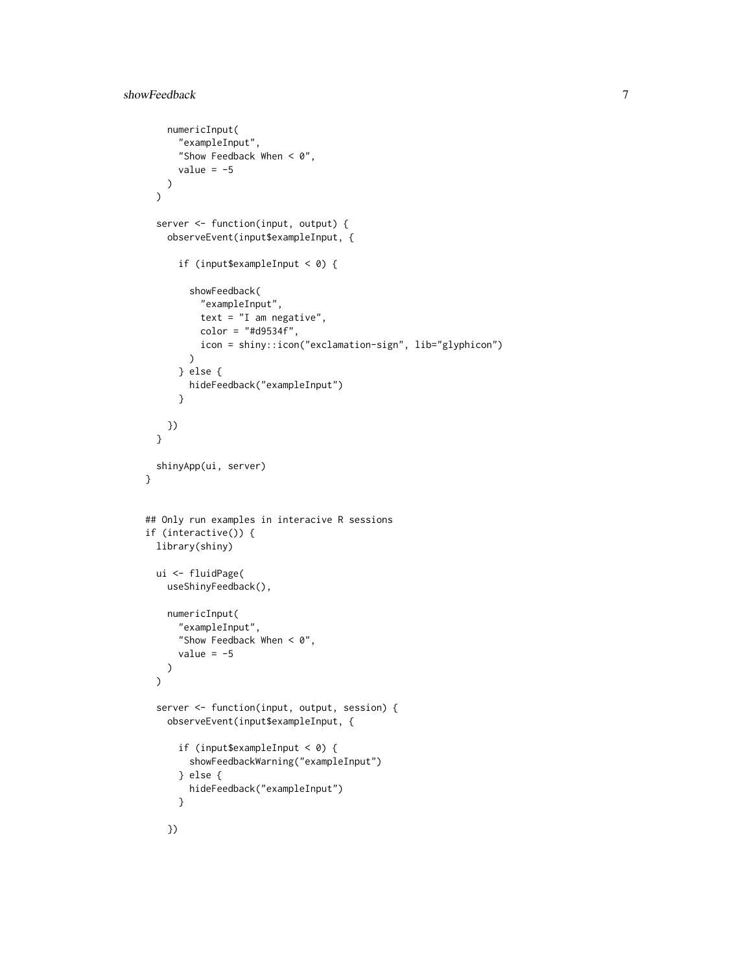```
numericInput(
      "exampleInput",
      "Show Feedback When < \vartheta",
      value = -5)
 \mathcal{L}server <- function(input, output) {
   observeEvent(input$exampleInput, {
      if (input$exampleInput < 0) {
        showFeedback(
          "exampleInput",
          text = "I am negative",
          color = "#d9534f",
          icon = shiny::icon("exclamation-sign", lib="glyphicon")
        )
      } else {
        hideFeedback("exampleInput")
      }
   })
 }
 shinyApp(ui, server)
}
## Only run examples in interacive R sessions
if (interactive()) {
 library(shiny)
 ui <- fluidPage(
   useShinyFeedback(),
   numericInput(
      "exampleInput",
      "Show Feedback When < \vartheta",
      value = -5)
 )
 server <- function(input, output, session) {
   observeEvent(input$exampleInput, {
      if (input$exampleInput < 0) {
        showFeedbackWarning("exampleInput")
      } else {
        hideFeedback("exampleInput")
      }
    })
```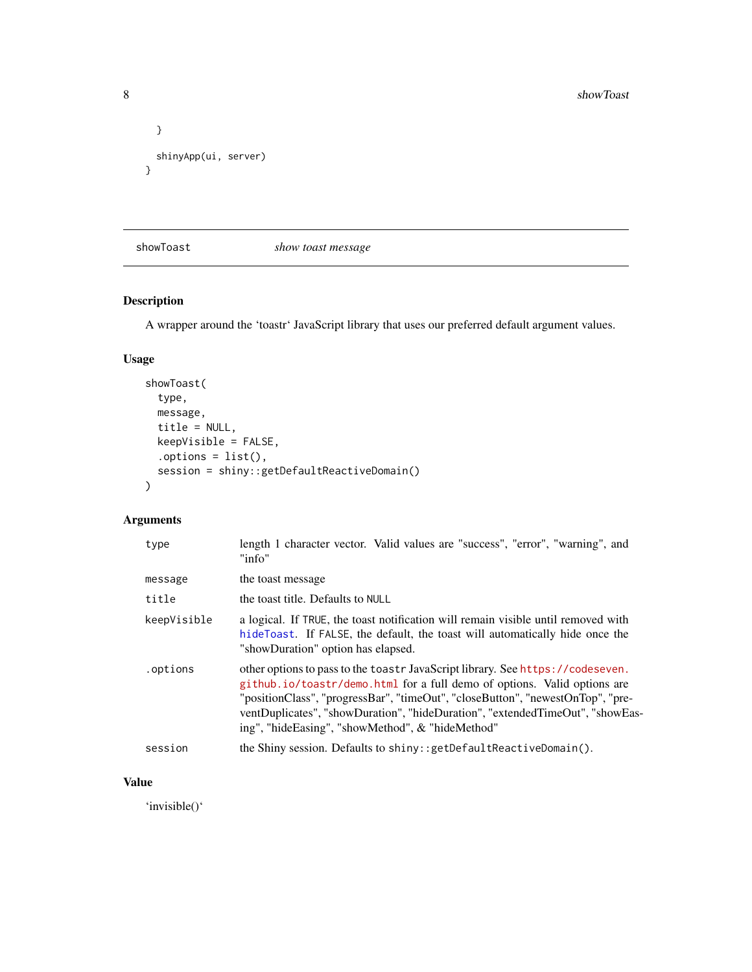```
}
 shinyApp(ui, server)
}
```
showToast *show toast message*

#### Description

A wrapper around the 'toastr' JavaScript library that uses our preferred default argument values.

#### Usage

```
showToast(
  type,
 message,
 title = NULL,
 keepVisible = FALSE,
  .options = list(),
  session = shiny::getDefaultReactiveDomain()
)
```
#### Arguments

| type        | length 1 character vector. Valid values are "success", "error", "warning", and<br>"info"                                                                                                                                                                                                                                                                                          |
|-------------|-----------------------------------------------------------------------------------------------------------------------------------------------------------------------------------------------------------------------------------------------------------------------------------------------------------------------------------------------------------------------------------|
| message     | the toast message                                                                                                                                                                                                                                                                                                                                                                 |
| title       | the toast title. Defaults to NULL                                                                                                                                                                                                                                                                                                                                                 |
| keepVisible | a logical. If TRUE, the toast notification will remain visible until removed with<br>hide Toast. If FALSE, the default, the toast will automatically hide once the<br>"showDuration" option has elapsed.                                                                                                                                                                          |
| .options    | other options to pass to the toastr JavaScript library. See https://codeseven.<br>github.io/toastr/demo.html for a full demo of options. Valid options are<br>"positionClass", "progressBar", "timeOut", "closeButton", "newestOnTop", "pre-<br>ventDuplicates", "showDuration", "hideDuration", "extendedTimeOut", "showEas-<br>ing", "hideEasing", "showMethod", & "hideMethod" |
| session     | the Shiny session. Defaults to shiny:: getDefaultReactiveDomain().                                                                                                                                                                                                                                                                                                                |

#### Value

'invisible()'

<span id="page-7-0"></span>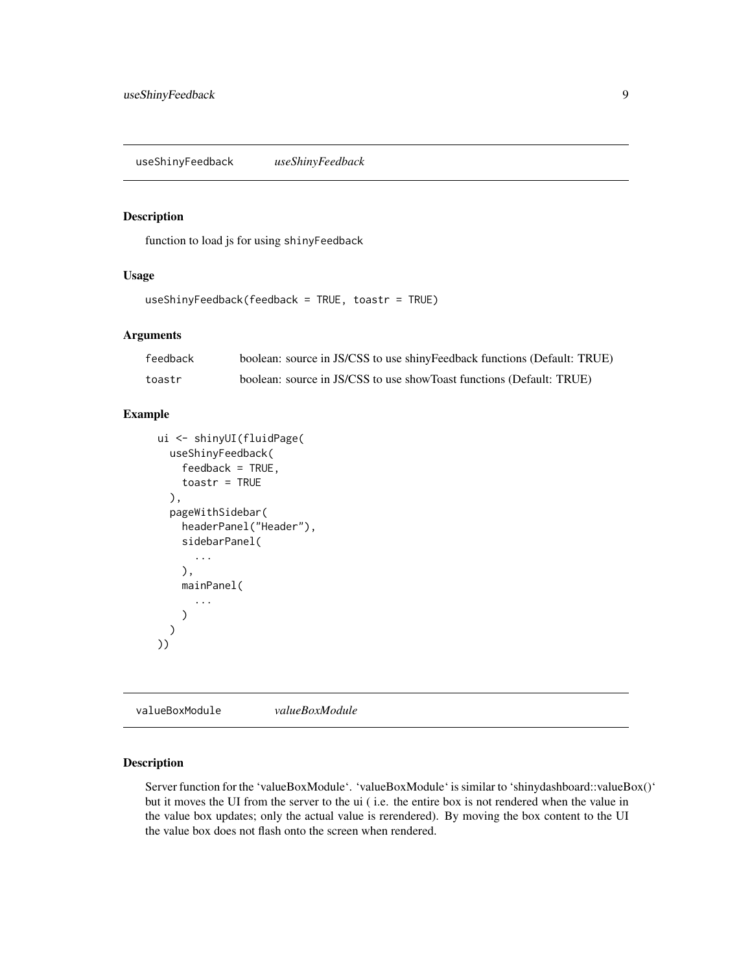<span id="page-8-0"></span>useShinyFeedback *useShinyFeedback*

#### Description

function to load js for using shinyFeedback

#### Usage

useShinyFeedback(feedback = TRUE, toastr = TRUE)

#### Arguments

| feedback | boolean: source in JS/CSS to use shinyFeedback functions (Default: TRUE) |
|----------|--------------------------------------------------------------------------|
| toastr   | boolean: source in JS/CSS to use showToast functions (Default: TRUE)     |

#### Example

```
ui <- shinyUI(fluidPage(
 useShinyFeedback(
    feedback = TRUE,toastr = TRUE
  ),
  pageWithSidebar(
    headerPanel("Header"),
    sidebarPanel(
      ...
   ),
   mainPanel(
      ...
    )
 )
))
```
valueBoxModule *valueBoxModule*

#### Description

Server function for the 'valueBoxModule'. 'valueBoxModule' is similar to 'shinydashboard::valueBox()' but it moves the UI from the server to the ui ( i.e. the entire box is not rendered when the value in the value box updates; only the actual value is rerendered). By moving the box content to the UI the value box does not flash onto the screen when rendered.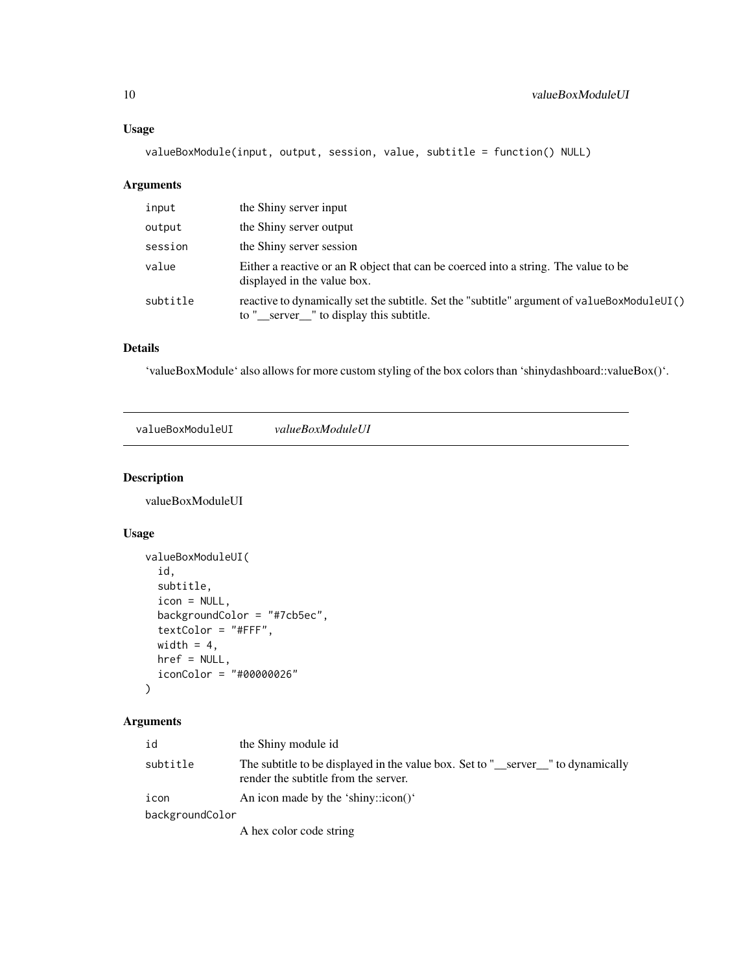#### <span id="page-9-0"></span>Usage

valueBoxModule(input, output, session, value, subtitle = function() NULL)

#### Arguments

| input    | the Shiny server input                                                                                                                 |  |
|----------|----------------------------------------------------------------------------------------------------------------------------------------|--|
| output   | the Shiny server output                                                                                                                |  |
| session  | the Shiny server session                                                                                                               |  |
| value    | Either a reactive or an R object that can be coerced into a string. The value to be<br>displayed in the value box.                     |  |
| subtitle | reactive to dynamically set the subtitle. Set the "subtitle" argument of valueBoxModuleUI()<br>to "_server_" to display this subtitle. |  |

#### Details

'valueBoxModule' also allows for more custom styling of the box colors than 'shinydashboard::valueBox()'.

valueBoxModuleUI *valueBoxModuleUI*

#### Description

valueBoxModuleUI

#### Usage

```
valueBoxModuleUI(
  id,
  subtitle,
  icon = NULL,
 backgroundColor = "#7cb5ec",
  textColor = "#FFF",
 width = 4,
 href = NULL,
  iconColor = "#00000026"
\mathcal{L}
```
#### Arguments

| id              | the Shiny module id                                                                                                     |  |
|-----------------|-------------------------------------------------------------------------------------------------------------------------|--|
| subtitle        | The subtitle to be displayed in the value box. Set to "_server_" to dynamically<br>render the subtitle from the server. |  |
| icon            | An icon made by the 'shiny:: $\text{icon}()$ '                                                                          |  |
| backgroundColor |                                                                                                                         |  |
|                 | A hex color code string                                                                                                 |  |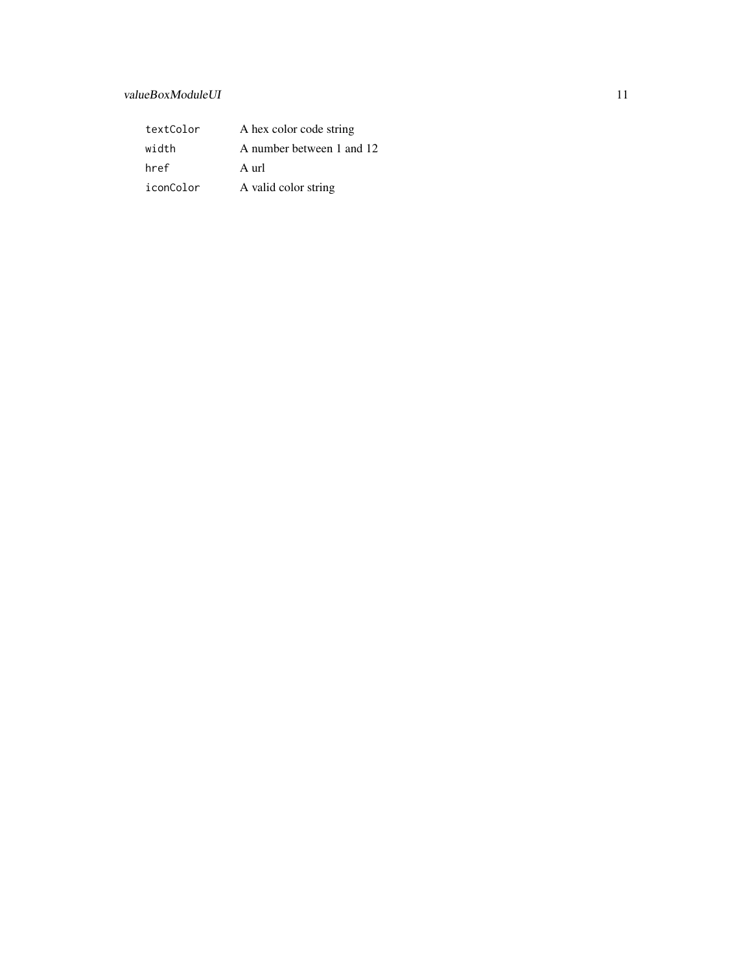#### valueBoxModuleUI 11

| textColor | A hex color code string   |
|-----------|---------------------------|
| width     | A number between 1 and 12 |
| href      | A url                     |
| iconColor | A valid color string      |